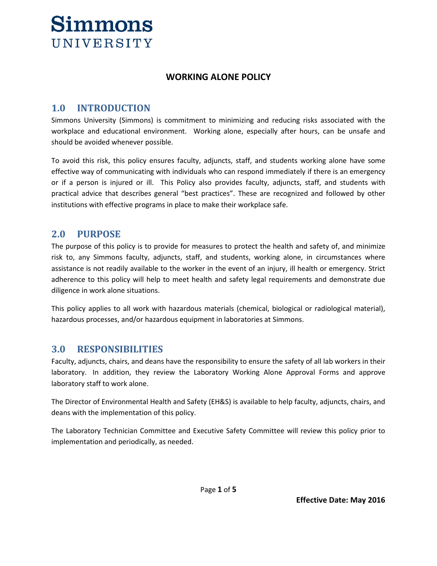

#### **WORKING ALONE POLICY**

### **1.0 INTRODUCTION**

Simmons University (Simmons) is commitment to minimizing and reducing risks associated with the workplace and educational environment. Working alone, especially after hours, can be unsafe and should be avoided whenever possible.

To avoid this risk, this policy ensures faculty, adjuncts, staff, and students working alone have some effective way of communicating with individuals who can respond immediately if there is an emergency or if a person is injured or ill. This Policy also provides faculty, adjuncts, staff, and students with practical advice that describes general "best practices". These are recognized and followed by other institutions with effective programs in place to make their workplace safe.

#### **2.0 PURPOSE**

The purpose of this policy is to provide for measures to protect the health and safety of, and minimize risk to, any Simmons faculty, adjuncts, staff, and students, working alone, in circumstances where assistance is not readily available to the worker in the event of an injury, ill health or emergency. Strict adherence to this policy will help to meet health and safety legal requirements and demonstrate due diligence in work alone situations.

This policy applies to all work with hazardous materials (chemical, biological or radiological material), hazardous processes, and/or hazardous equipment in laboratories at Simmons.

#### **3.0 RESPONSIBILITIES**

Faculty, adjuncts, chairs, and deans have the responsibility to ensure the safety of all lab workers in their laboratory. In addition, they review the Laboratory Working Alone Approval Forms and approve laboratory staff to work alone.

The Director of Environmental Health and Safety (EH&S) is available to help faculty, adjuncts, chairs, and deans with the implementation of this policy.

The Laboratory Technician Committee and Executive Safety Committee will review this policy prior to implementation and periodically, as needed.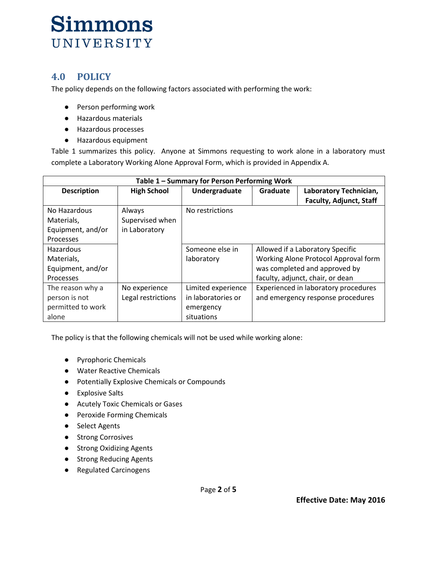### **4.0 POLICY**

The policy depends on the following factors associated with performing the work:

- Person performing work
- Hazardous materials
- Hazardous processes
- Hazardous equipment

Table 1 summarizes this policy. Anyone at Simmons requesting to work alone in a laboratory must complete a Laboratory Working Alone Approval Form, which is provided in Appendix A.

| Table 1 – Summary for Person Performing Work |                    |                    |                                      |                                  |  |  |  |  |
|----------------------------------------------|--------------------|--------------------|--------------------------------------|----------------------------------|--|--|--|--|
| <b>Description</b>                           | <b>High School</b> | Undergraduate      | Laboratory Technician,<br>Graduate   |                                  |  |  |  |  |
|                                              |                    |                    |                                      | <b>Faculty, Adjunct, Staff</b>   |  |  |  |  |
| No Hazardous                                 | Always             | No restrictions    |                                      |                                  |  |  |  |  |
| Materials,                                   | Supervised when    |                    |                                      |                                  |  |  |  |  |
| Equipment, and/or                            | in Laboratory      |                    |                                      |                                  |  |  |  |  |
| <b>Processes</b>                             |                    |                    |                                      |                                  |  |  |  |  |
| <b>Hazardous</b>                             |                    | Someone else in    | Allowed if a Laboratory Specific     |                                  |  |  |  |  |
| Materials,                                   |                    | laboratory         | Working Alone Protocol Approval form |                                  |  |  |  |  |
| Equipment, and/or                            |                    |                    | was completed and approved by        |                                  |  |  |  |  |
| <b>Processes</b>                             |                    |                    |                                      | faculty, adjunct, chair, or dean |  |  |  |  |
| The reason why a                             | No experience      | Limited experience | Experienced in laboratory procedures |                                  |  |  |  |  |
| person is not                                | Legal restrictions | in laboratories or | and emergency response procedures    |                                  |  |  |  |  |
| permitted to work                            |                    | emergency          |                                      |                                  |  |  |  |  |
| alone                                        |                    | situations         |                                      |                                  |  |  |  |  |

The policy is that the following chemicals will not be used while working alone:

- Pyrophoric Chemicals
- Water Reactive Chemicals
- Potentially Explosive Chemicals or Compounds
- Explosive Salts
- Acutely Toxic Chemicals or Gases
- Peroxide Forming Chemicals
- Select Agents
- Strong Corrosives
- Strong Oxidizing Agents
- Strong Reducing Agents
- Regulated Carcinogens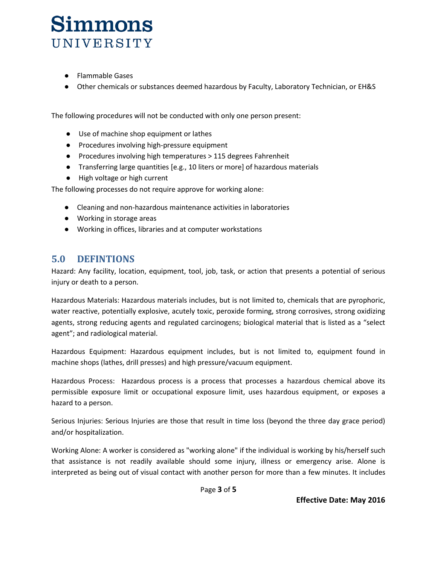- Flammable Gases
- Other chemicals or substances deemed hazardous by Faculty, Laboratory Technician, or EH&S

The following procedures will not be conducted with only one person present:

- Use of machine shop equipment or lathes
- Procedures involving high-pressure equipment
- Procedures involving high temperatures > 115 degrees Fahrenheit
- Transferring large quantities [e.g., 10 liters or more] of hazardous materials
- High voltage or high current

The following processes do not require approve for working alone:

- Cleaning and non-hazardous maintenance activities in laboratories
- Working in storage areas
- Working in offices, libraries and at computer workstations

#### **5.0 DEFINTIONS**

Hazard: Any facility, location, equipment, tool, job, task, or action that presents a potential of serious injury or death to a person.

Hazardous Materials: Hazardous materials includes, but is not limited to, chemicals that are pyrophoric, water reactive, potentially explosive, acutely toxic, peroxide forming, strong corrosives, strong oxidizing agents, strong reducing agents and regulated carcinogens; biological material that is listed as a "select agent"; and radiological material.

Hazardous Equipment: Hazardous equipment includes, but is not limited to, equipment found in machine shops (lathes, drill presses) and high pressure/vacuum equipment.

Hazardous Process: Hazardous process is a process that processes a hazardous chemical above its permissible exposure limit or occupational exposure limit, uses hazardous equipment, or exposes a hazard to a person.

Serious Injuries: Serious Injuries are those that result in time loss (beyond the three day grace period) and/or hospitalization.

Working Alone: A worker is considered as "working alone" if the individual is working by his/herself such that assistance is not readily available should some injury, illness or emergency arise. Alone is interpreted as being out of visual contact with another person for more than a few minutes. It includes

Page **3** of **5**

**Effective Date: May 2016**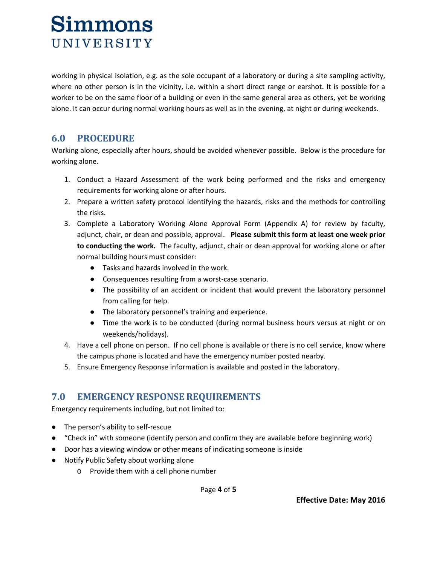working in physical isolation, e.g. as the sole occupant of a laboratory or during a site sampling activity, where no other person is in the vicinity, i.e. within a short direct range or earshot. It is possible for a worker to be on the same floor of a building or even in the same general area as others, yet be working alone. It can occur during normal working hours as well as in the evening, at night or during weekends.

### **6.0 PROCEDURE**

Working alone, especially after hours, should be avoided whenever possible. Below is the procedure for working alone.

- 1. Conduct a Hazard Assessment of the work being performed and the risks and emergency requirements for working alone or after hours.
- 2. Prepare a written safety protocol identifying the hazards, risks and the methods for controlling the risks.
- 3. Complete a Laboratory Working Alone Approval Form (Appendix A) for review by faculty, adjunct, chair, or dean and possible, approval. **Please submit this form at least one week prior to conducting the work.** The faculty, adjunct, chair or dean approval for working alone or after normal building hours must consider:
	- Tasks and hazards involved in the work.
	- Consequences resulting from a worst-case scenario.
	- The possibility of an accident or incident that would prevent the laboratory personnel from calling for help.
	- The laboratory personnel's training and experience.
	- Time the work is to be conducted (during normal business hours versus at night or on weekends/holidays).
- 4. Have a cell phone on person. If no cell phone is available or there is no cell service, know where the campus phone is located and have the emergency number posted nearby.
- 5. Ensure Emergency Response information is available and posted in the laboratory.

### **7.0 EMERGENCY RESPONSE REQUIREMENTS**

Emergency requirements including, but not limited to:

- The person's ability to self-rescue
- "Check in" with someone (identify person and confirm they are available before beginning work)
- Door has a viewing window or other means of indicating someone is inside
- Notify Public Safety about working alone
	- o Provide them with a cell phone number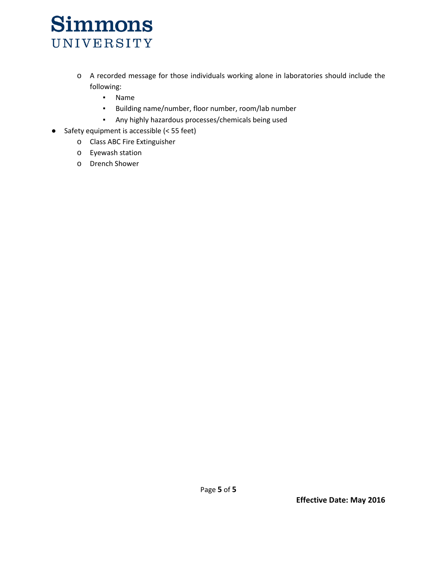- o A recorded message for those individuals working alone in laboratories should include the following:
	- Name
	- Building name/number, floor number, room/lab number
	- Any highly hazardous processes/chemicals being used
- Safety equipment is accessible (< 55 feet)
	- o Class ABC Fire Extinguisher
	- o Eyewash station
	- o Drench Shower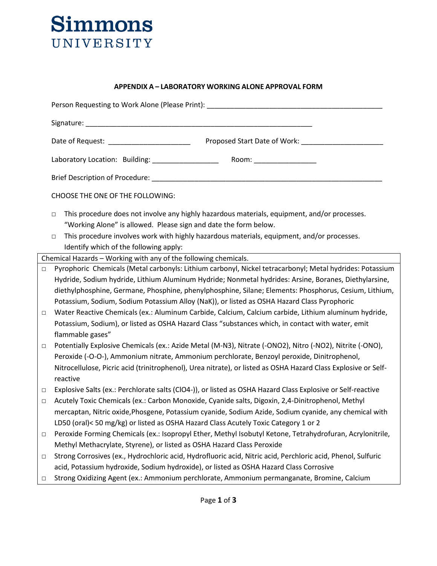#### **APPENDIX A – LABORATORY WORKING ALONE APPROVAL FORM**

|                  | Person Requesting to Work Alone (Please Print): ________________________________                                                                                                                                                                                                                                                                                                                                                                                                                                                                                                                                                       |  |  |  |  |  |
|------------------|----------------------------------------------------------------------------------------------------------------------------------------------------------------------------------------------------------------------------------------------------------------------------------------------------------------------------------------------------------------------------------------------------------------------------------------------------------------------------------------------------------------------------------------------------------------------------------------------------------------------------------------|--|--|--|--|--|
|                  |                                                                                                                                                                                                                                                                                                                                                                                                                                                                                                                                                                                                                                        |  |  |  |  |  |
|                  | Proposed Start Date of Work: ___________<br>Date of Request: ________________________                                                                                                                                                                                                                                                                                                                                                                                                                                                                                                                                                  |  |  |  |  |  |
|                  | Laboratory Location: Building: ____________________<br>Room: _________________                                                                                                                                                                                                                                                                                                                                                                                                                                                                                                                                                         |  |  |  |  |  |
|                  |                                                                                                                                                                                                                                                                                                                                                                                                                                                                                                                                                                                                                                        |  |  |  |  |  |
|                  | CHOOSE THE ONE OF THE FOLLOWING:                                                                                                                                                                                                                                                                                                                                                                                                                                                                                                                                                                                                       |  |  |  |  |  |
|                  | This procedure does not involve any highly hazardous materials, equipment, and/or processes.<br>$\Box$<br>"Working Alone" is allowed. Please sign and date the form below.<br>This procedure involves work with highly hazardous materials, equipment, and/or processes.<br>$\Box$<br>Identify which of the following apply:                                                                                                                                                                                                                                                                                                           |  |  |  |  |  |
|                  | Chemical Hazards - Working with any of the following chemicals.                                                                                                                                                                                                                                                                                                                                                                                                                                                                                                                                                                        |  |  |  |  |  |
| $\Box$<br>$\Box$ | Pyrophoric Chemicals (Metal carbonyls: Lithium carbonyl, Nickel tetracarbonyl; Metal hydrides: Potassium<br>Hydride, Sodium hydride, Lithium Aluminum Hydride; Nonmetal hydrides: Arsine, Boranes, Diethylarsine,<br>diethylphosphine, Germane, Phosphine, phenylphosphine, Silane; Elements: Phosphorus, Cesium, Lithium,<br>Potassium, Sodium, Sodium Potassium Alloy (NaK)), or listed as OSHA Hazard Class Pyrophoric<br>Water Reactive Chemicals (ex.: Aluminum Carbide, Calcium, Calcium carbide, Lithium aluminum hydride,<br>Potassium, Sodium), or listed as OSHA Hazard Class "substances which, in contact with water, emit |  |  |  |  |  |
| $\Box$           | flammable gases"<br>Potentially Explosive Chemicals (ex.: Azide Metal (M-N3), Nitrate (-ONO2), Nitro (-NO2), Nitrite (-ONO),<br>Peroxide (-O-O-), Ammonium nitrate, Ammonium perchlorate, Benzoyl peroxide, Dinitrophenol,<br>Nitrocellulose, Picric acid (trinitrophenol), Urea nitrate), or listed as OSHA Hazard Class Explosive or Self-<br>reactive                                                                                                                                                                                                                                                                               |  |  |  |  |  |
| $\Box$<br>$\Box$ | Explosive Salts (ex.: Perchlorate salts (CIO4-)), or listed as OSHA Hazard Class Explosive or Self-reactive<br>Acutely Toxic Chemicals (ex.: Carbon Monoxide, Cyanide salts, Digoxin, 2,4-Dinitrophenol, Methyl<br>mercaptan, Nitric oxide, Phosgene, Potassium cyanide, Sodium Azide, Sodium cyanide, any chemical with<br>LD50 (oral)< 50 mg/kg) or listed as OSHA Hazard Class Acutely Toxic Category 1 or 2                                                                                                                                                                                                                        |  |  |  |  |  |
| □                | Peroxide Forming Chemicals (ex.: Isopropyl Ether, Methyl Isobutyl Ketone, Tetrahydrofuran, Acrylonitrile,<br>Methyl Methacrylate, Styrene), or listed as OSHA Hazard Class Peroxide                                                                                                                                                                                                                                                                                                                                                                                                                                                    |  |  |  |  |  |
| $\Box$           | Strong Corrosives (ex., Hydrochloric acid, Hydrofluoric acid, Nitric acid, Perchloric acid, Phenol, Sulfuric<br>acid, Potassium hydroxide, Sodium hydroxide), or listed as OSHA Hazard Class Corrosive                                                                                                                                                                                                                                                                                                                                                                                                                                 |  |  |  |  |  |
| □                | Strong Oxidizing Agent (ex.: Ammonium perchlorate, Ammonium permanganate, Bromine, Calcium                                                                                                                                                                                                                                                                                                                                                                                                                                                                                                                                             |  |  |  |  |  |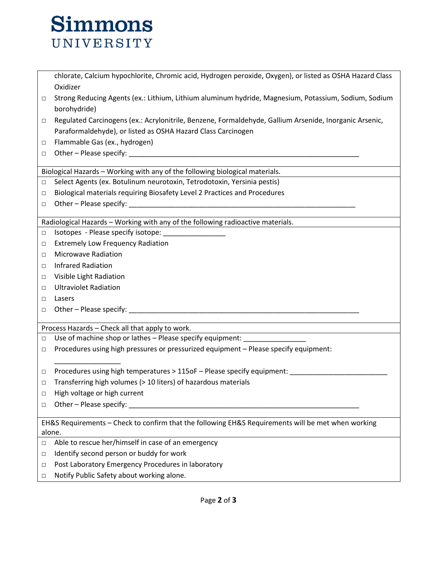chlorate, Calcium hypochlorite, Chromic acid, Hydrogen peroxide, Oxygen), or listed as OSHA Hazard Class Oxidizer

- □ Strong Reducing Agents (ex.: Lithium, Lithium aluminum hydride, Magnesium, Potassium, Sodium, Sodium borohydride)
- □ Regulated Carcinogens (ex.: Acrylonitrile, Benzene, Formaldehyde, Gallium Arsenide, Inorganic Arsenic, Paraformaldehyde), or listed as OSHA Hazard Class Carcinogen
- □ Flammable Gas (ex., hydrogen)
- □ Other Please specify: \_\_\_\_\_\_\_\_\_\_\_\_\_\_\_\_\_\_\_\_\_\_\_\_\_\_\_\_\_\_\_\_\_\_\_\_\_\_\_\_\_\_\_\_\_\_\_\_\_\_\_\_\_\_\_\_\_\_\_

Biological Hazards – Working with any of the following biological materials.

- □ Select Agents (ex. Botulinum neurotoxin, Tetrodotoxin, Yersinia pestis)
- □ Biological materials requiring Biosafety Level 2 Practices and Procedures
- □ Other Please specify:

Radiological Hazards – Working with any of the following radioactive materials.

- □ Isotopes Please specify isotope:
- □ Extremely Low Frequency Radiation
- □ Microwave Radiation
- □ Infrared Radiation
- □ Visible Light Radiation
- □ Ultraviolet Radiation
- □ Lasers
- □ Other Please specify: <u>■ Other</u>

Process Hazards – Check all that apply to work.

- □ Use of machine shop or lathes Please specify equipment: \_\_\_\_\_\_\_\_\_\_\_\_\_\_\_\_\_\_\_
- □ Procedures using high pressures or pressurized equipment Please specify equipment:
- □ Procedures using high temperatures > 115oF Please specify equipment:
- □ Transferring high volumes ( $>$  10 liters) of hazardous materials
- □ High voltage or high current
- $\Box$  Other Please specify:  $\Box$

\_\_\_\_\_\_\_\_\_\_\_\_\_\_\_\_\_

EH&S Requirements – Check to confirm that the following EH&S Requirements will be met when working alone.

- □ Able to rescue her/himself in case of an emergency
- □ Identify second person or buddy for work
- □ Post Laboratory Emergency Procedures in laboratory
- □ Notify Public Safety about working alone.